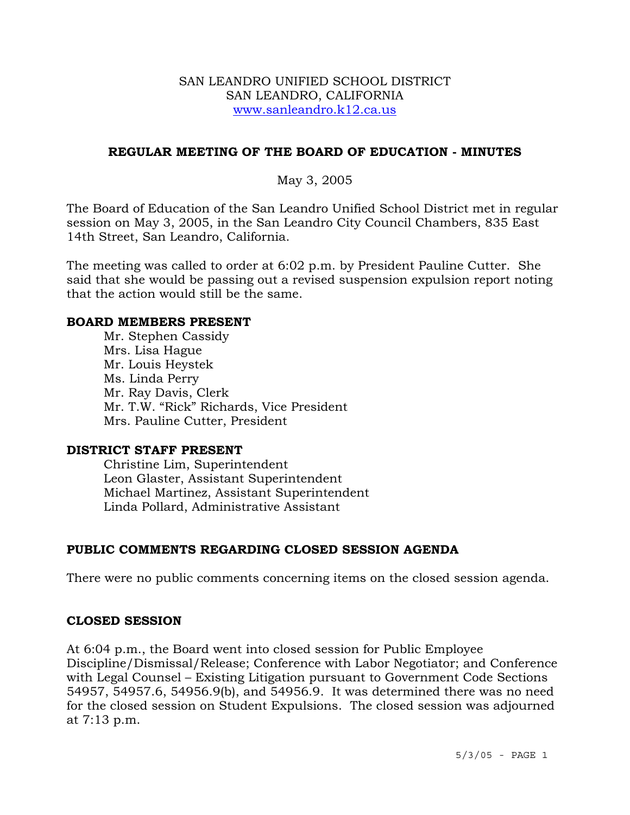### SAN LEANDRO UNIFIED SCHOOL DISTRICT SAN LEANDRO, CALIFORNIA www.sanleandro.k12.ca.us

## **REGULAR MEETING OF THE BOARD OF EDUCATION - MINUTES**

## May 3, 2005

The Board of Education of the San Leandro Unified School District met in regular session on May 3, 2005, in the San Leandro City Council Chambers, 835 East 14th Street, San Leandro, California.

The meeting was called to order at 6:02 p.m. by President Pauline Cutter. She said that she would be passing out a revised suspension expulsion report noting that the action would still be the same.

#### **BOARD MEMBERS PRESENT**

Mr. Stephen Cassidy Mrs. Lisa Hague Mr. Louis Heystek Ms. Linda Perry Mr. Ray Davis, Clerk Mr. T.W. "Rick" Richards, Vice President Mrs. Pauline Cutter, President

#### **DISTRICT STAFF PRESENT**

Christine Lim, Superintendent Leon Glaster, Assistant Superintendent Michael Martinez, Assistant Superintendent Linda Pollard, Administrative Assistant

# **PUBLIC COMMENTS REGARDING CLOSED SESSION AGENDA**

There were no public comments concerning items on the closed session agenda.

### **CLOSED SESSION**

At 6:04 p.m., the Board went into closed session for Public Employee Discipline/Dismissal/Release; Conference with Labor Negotiator; and Conference with Legal Counsel – Existing Litigation pursuant to Government Code Sections 54957, 54957.6, 54956.9(b), and 54956.9. It was determined there was no need for the closed session on Student Expulsions. The closed session was adjourned at 7:13 p.m.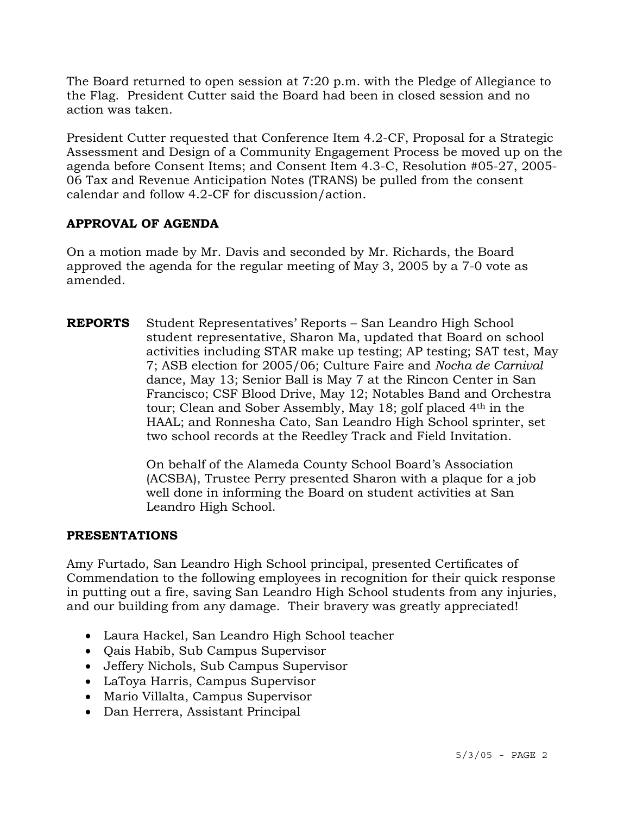The Board returned to open session at 7:20 p.m. with the Pledge of Allegiance to the Flag. President Cutter said the Board had been in closed session and no action was taken.

President Cutter requested that Conference Item 4.2-CF, Proposal for a Strategic Assessment and Design of a Community Engagement Process be moved up on the agenda before Consent Items; and Consent Item 4.3-C, Resolution #05-27, 2005- 06 Tax and Revenue Anticipation Notes (TRANS) be pulled from the consent calendar and follow 4.2-CF for discussion/action.

# **APPROVAL OF AGENDA**

On a motion made by Mr. Davis and seconded by Mr. Richards, the Board approved the agenda for the regular meeting of May 3, 2005 by a 7-0 vote as amended.

**REPORTS** Student Representatives' Reports – San Leandro High School student representative, Sharon Ma, updated that Board on school activities including STAR make up testing; AP testing; SAT test, May 7; ASB election for 2005/06; Culture Faire and *Nocha de Carnival* dance, May 13; Senior Ball is May 7 at the Rincon Center in San Francisco; CSF Blood Drive, May 12; Notables Band and Orchestra tour; Clean and Sober Assembly, May 18; golf placed 4<sup>th</sup> in the HAAL; and Ronnesha Cato, San Leandro High School sprinter, set two school records at the Reedley Track and Field Invitation.

> On behalf of the Alameda County School Board's Association (ACSBA), Trustee Perry presented Sharon with a plaque for a job well done in informing the Board on student activities at San Leandro High School.

# **PRESENTATIONS**

Amy Furtado, San Leandro High School principal, presented Certificates of Commendation to the following employees in recognition for their quick response in putting out a fire, saving San Leandro High School students from any injuries, and our building from any damage. Their bravery was greatly appreciated!

- Laura Hackel, San Leandro High School teacher
- Qais Habib, Sub Campus Supervisor
- Jeffery Nichols, Sub Campus Supervisor
- LaToya Harris, Campus Supervisor
- Mario Villalta, Campus Supervisor
- Dan Herrera, Assistant Principal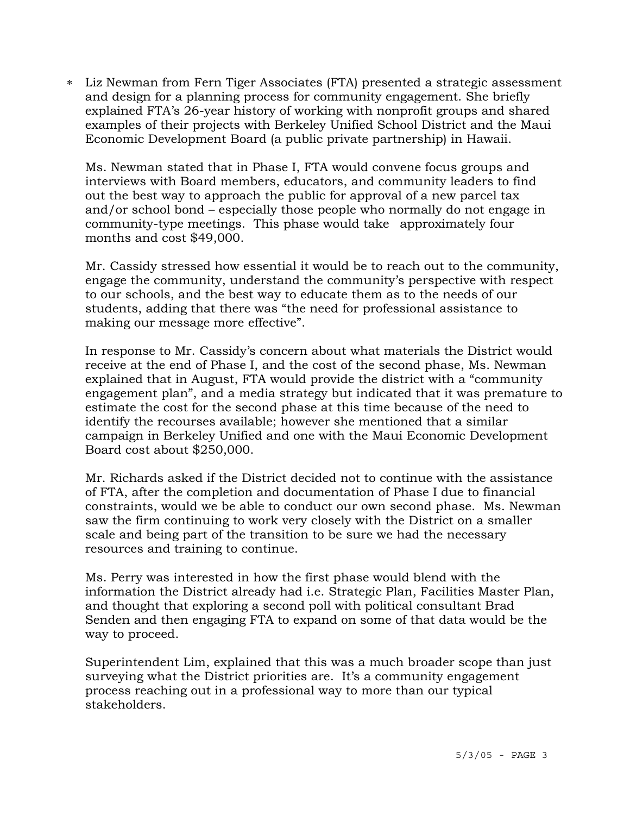∗ Liz Newman from Fern Tiger Associates (FTA) presented a strategic assessment and design for a planning process for community engagement. She briefly explained FTA's 26-year history of working with nonprofit groups and shared examples of their projects with Berkeley Unified School District and the Maui Economic Development Board (a public private partnership) in Hawaii.

 Ms. Newman stated that in Phase I, FTA would convene focus groups and interviews with Board members, educators, and community leaders to find out the best way to approach the public for approval of a new parcel tax and/or school bond – especially those people who normally do not engage in community-type meetings. This phase would take approximately four months and cost \$49,000.

Mr. Cassidy stressed how essential it would be to reach out to the community, engage the community, understand the community's perspective with respect to our schools, and the best way to educate them as to the needs of our students, adding that there was "the need for professional assistance to making our message more effective".

In response to Mr. Cassidy's concern about what materials the District would receive at the end of Phase I, and the cost of the second phase, Ms. Newman explained that in August, FTA would provide the district with a "community engagement plan", and a media strategy but indicated that it was premature to estimate the cost for the second phase at this time because of the need to identify the recourses available; however she mentioned that a similar campaign in Berkeley Unified and one with the Maui Economic Development Board cost about \$250,000.

Mr. Richards asked if the District decided not to continue with the assistance of FTA, after the completion and documentation of Phase I due to financial constraints, would we be able to conduct our own second phase. Ms. Newman saw the firm continuing to work very closely with the District on a smaller scale and being part of the transition to be sure we had the necessary resources and training to continue.

Ms. Perry was interested in how the first phase would blend with the information the District already had i.e. Strategic Plan, Facilities Master Plan, and thought that exploring a second poll with political consultant Brad Senden and then engaging FTA to expand on some of that data would be the way to proceed.

Superintendent Lim, explained that this was a much broader scope than just surveying what the District priorities are. It's a community engagement process reaching out in a professional way to more than our typical stakeholders.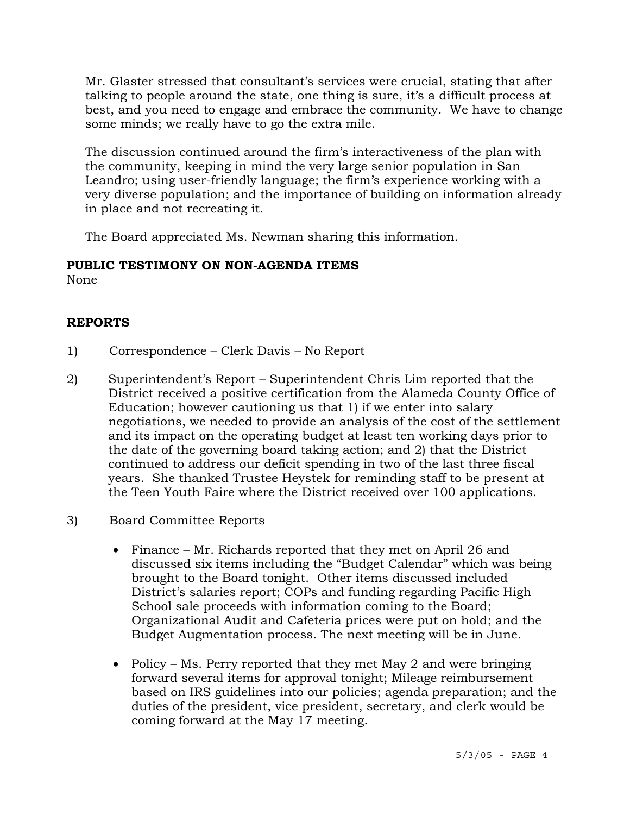Mr. Glaster stressed that consultant's services were crucial, stating that after talking to people around the state, one thing is sure, it's a difficult process at best, and you need to engage and embrace the community. We have to change some minds; we really have to go the extra mile.

The discussion continued around the firm's interactiveness of the plan with the community, keeping in mind the very large senior population in San Leandro; using user-friendly language; the firm's experience working with a very diverse population; and the importance of building on information already in place and not recreating it.

The Board appreciated Ms. Newman sharing this information.

# **PUBLIC TESTIMONY ON NON-AGENDA ITEMS**

None

# **REPORTS**

- 1) Correspondence Clerk Davis No Report
- 2) Superintendent's Report Superintendent Chris Lim reported that the District received a positive certification from the Alameda County Office of Education; however cautioning us that 1) if we enter into salary negotiations, we needed to provide an analysis of the cost of the settlement and its impact on the operating budget at least ten working days prior to the date of the governing board taking action; and 2) that the District continued to address our deficit spending in two of the last three fiscal years. She thanked Trustee Heystek for reminding staff to be present at the Teen Youth Faire where the District received over 100 applications.
- 3) Board Committee Reports
	- Finance Mr. Richards reported that they met on April 26 and discussed six items including the "Budget Calendar" which was being brought to the Board tonight. Other items discussed included District's salaries report; COPs and funding regarding Pacific High School sale proceeds with information coming to the Board; Organizational Audit and Cafeteria prices were put on hold; and the Budget Augmentation process. The next meeting will be in June.
	- Policy Ms. Perry reported that they met May 2 and were bringing forward several items for approval tonight; Mileage reimbursement based on IRS guidelines into our policies; agenda preparation; and the duties of the president, vice president, secretary, and clerk would be coming forward at the May 17 meeting.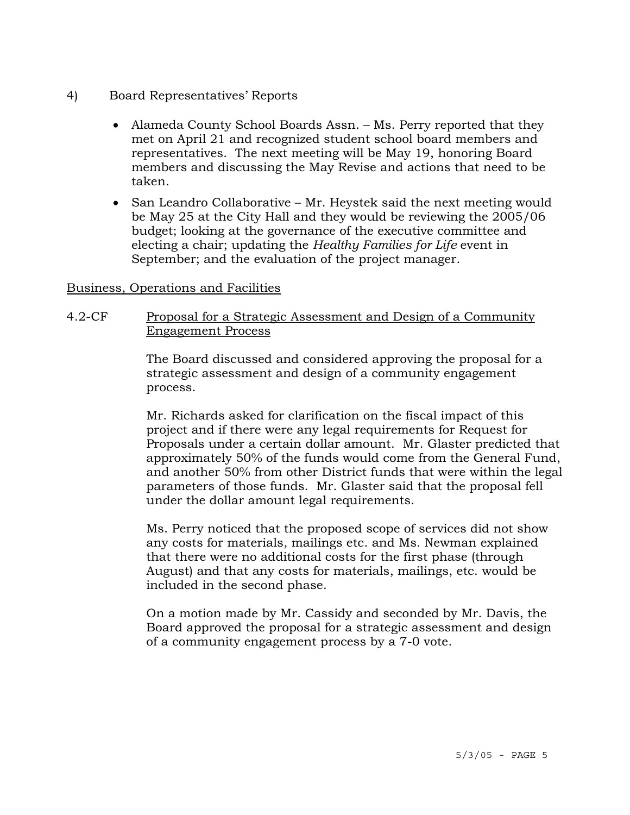- 4) Board Representatives' Reports
	- Alameda County School Boards Assn. Ms. Perry reported that they met on April 21 and recognized student school board members and representatives. The next meeting will be May 19, honoring Board members and discussing the May Revise and actions that need to be taken.
	- San Leandro Collaborative Mr. Heystek said the next meeting would be May 25 at the City Hall and they would be reviewing the 2005/06 budget; looking at the governance of the executive committee and electing a chair; updating the *Healthy Families for Life* event in September; and the evaluation of the project manager.

## Business, Operations and Facilities

# 4.2-CF Proposal for a Strategic Assessment and Design of a Community Engagement Process

The Board discussed and considered approving the proposal for a strategic assessment and design of a community engagement process.

Mr. Richards asked for clarification on the fiscal impact of this project and if there were any legal requirements for Request for Proposals under a certain dollar amount. Mr. Glaster predicted that approximately 50% of the funds would come from the General Fund, and another 50% from other District funds that were within the legal parameters of those funds. Mr. Glaster said that the proposal fell under the dollar amount legal requirements.

Ms. Perry noticed that the proposed scope of services did not show any costs for materials, mailings etc. and Ms. Newman explained that there were no additional costs for the first phase (through August) and that any costs for materials, mailings, etc. would be included in the second phase.

On a motion made by Mr. Cassidy and seconded by Mr. Davis, the Board approved the proposal for a strategic assessment and design of a community engagement process by a 7-0 vote.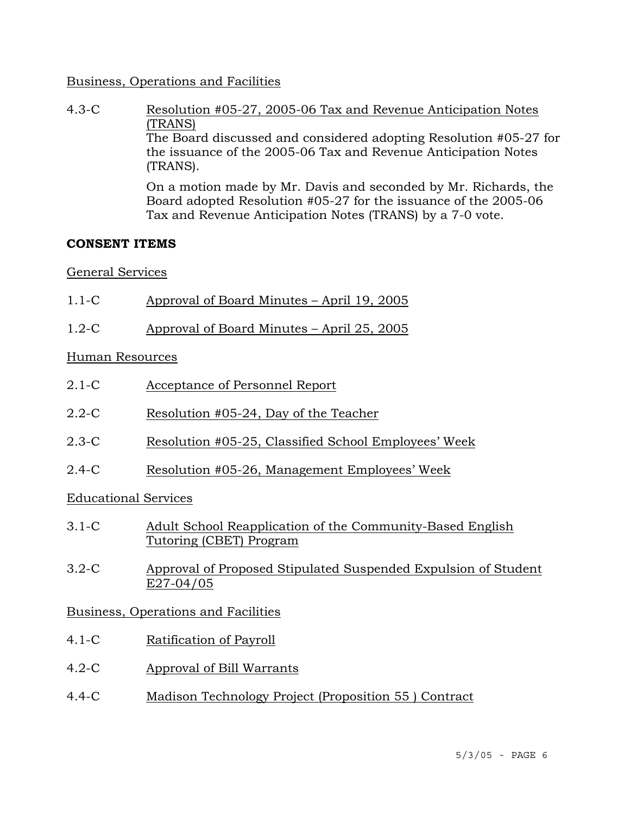## Business, Operations and Facilities

4.3-C Resolution #05-27, 2005-06 Tax and Revenue Anticipation Notes (TRANS) The Board discussed and considered adopting Resolution #05-27 for the issuance of the 2005-06 Tax and Revenue Anticipation Notes (TRANS). On a motion made by Mr. Davis and seconded by Mr. Richards, the Board adopted Resolution #05-27 for the issuance of the 2005-06

Tax and Revenue Anticipation Notes (TRANS) by a 7-0 vote.

## **CONSENT ITEMS**

## General Services

- 1.1-C Approval of Board Minutes April 19, 2005
- 1.2-C Approval of Board Minutes April 25, 2005

## Human Resources

- 2.1-C Acceptance of Personnel Report
- 2.2-C Resolution #05-24, Day of the Teacher
- 2.3-C Resolution #05-25, Classified School Employees' Week
- 2.4-C Resolution #05-26, Management Employees' Week

# Educational Services

- 3.1-C Adult School Reapplication of the Community-Based English Tutoring (CBET) Program
- 3.2-C Approval of Proposed Stipulated Suspended Expulsion of Student E27-04/05

# Business, Operations and Facilities

- 4.1-C Ratification of Payroll
- 4.2-C Approval of Bill Warrants
- 4.4-C Madison Technology Project (Proposition 55 ) Contract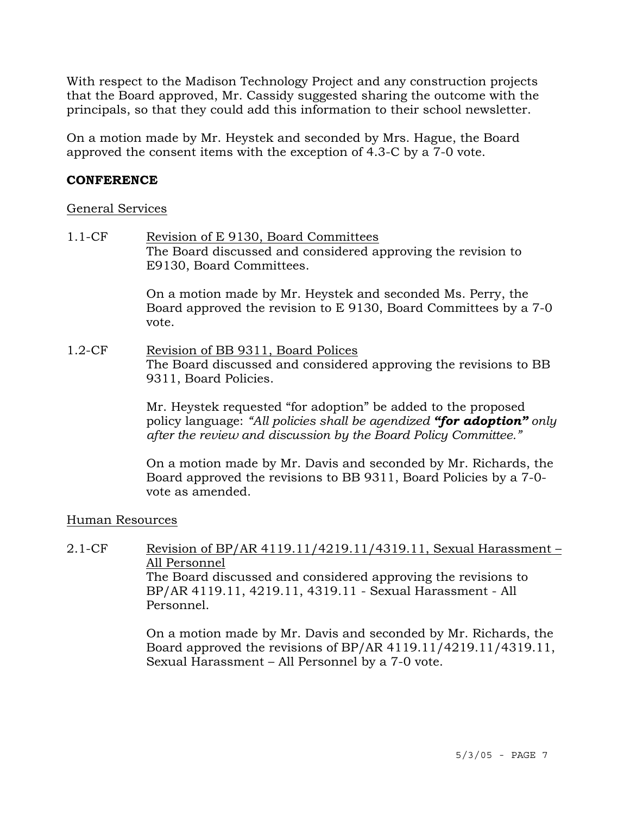With respect to the Madison Technology Project and any construction projects that the Board approved, Mr. Cassidy suggested sharing the outcome with the principals, so that they could add this information to their school newsletter.

On a motion made by Mr. Heystek and seconded by Mrs. Hague, the Board approved the consent items with the exception of 4.3-C by a 7-0 vote.

### **CONFERENCE**

### General Services

1.1-CF Revision of E 9130, Board Committees The Board discussed and considered approving the revision to E9130, Board Committees.

> On a motion made by Mr. Heystek and seconded Ms. Perry, the Board approved the revision to E 9130, Board Committees by a 7-0 vote.

1.2-CF Revision of BB 9311, Board Polices The Board discussed and considered approving the revisions to BB 9311, Board Policies.

> Mr. Heystek requested "for adoption" be added to the proposed policy language: *"All policies shall be agendized "for adoption" only after the review and discussion by the Board Policy Committee."*

> On a motion made by Mr. Davis and seconded by Mr. Richards, the Board approved the revisions to BB 9311, Board Policies by a 7-0 vote as amended.

# Human Resources

2.1-CF Revision of BP/AR 4119.11/4219.11/4319.11, Sexual Harassment – All Personnel The Board discussed and considered approving the revisions to BP/AR 4119.11, 4219.11, 4319.11 - Sexual Harassment - All Personnel.

> On a motion made by Mr. Davis and seconded by Mr. Richards, the Board approved the revisions of BP/AR 4119.11/4219.11/4319.11, Sexual Harassment – All Personnel by a 7-0 vote.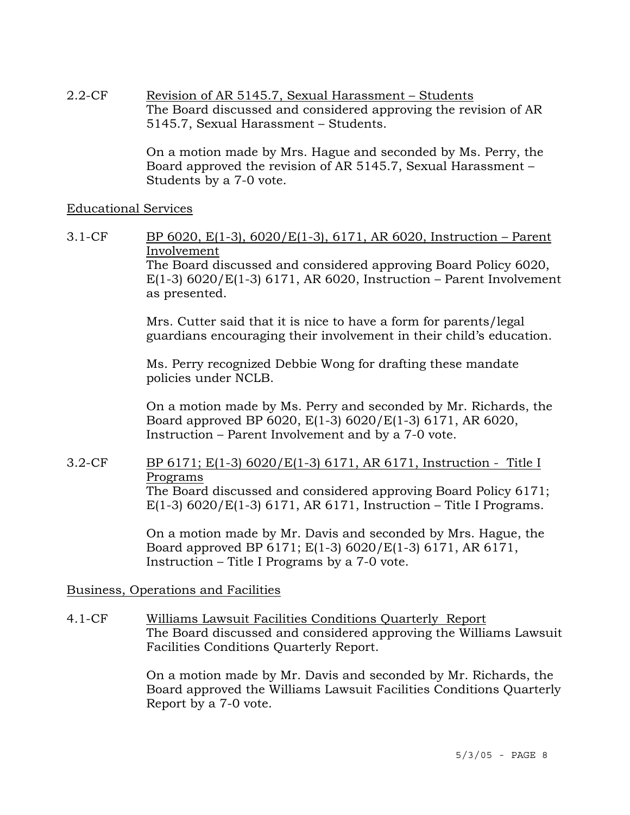2.2-CF Revision of AR 5145.7, Sexual Harassment – Students The Board discussed and considered approving the revision of AR 5145.7, Sexual Harassment – Students.

> On a motion made by Mrs. Hague and seconded by Ms. Perry, the Board approved the revision of AR 5145.7, Sexual Harassment – Students by a 7-0 vote.

### Educational Services

3.1-CF BP 6020, E(1-3), 6020/E(1-3), 6171, AR 6020, Instruction – Parent Involvement The Board discussed and considered approving Board Policy 6020, E(1-3)  $6020$ /E(1-3)  $6171$ , AR  $6020$ , Instruction – Parent Involvement as presented.

> Mrs. Cutter said that it is nice to have a form for parents/legal guardians encouraging their involvement in their child's education.

Ms. Perry recognized Debbie Wong for drafting these mandate policies under NCLB.

On a motion made by Ms. Perry and seconded by Mr. Richards, the Board approved BP 6020, E(1-3) 6020/E(1-3) 6171, AR 6020, Instruction – Parent Involvement and by a 7-0 vote.

3.2-CF BP 6171; E(1-3) 6020/E(1-3) 6171, AR 6171, Instruction - Title I Programs

The Board discussed and considered approving Board Policy 6171; E(1-3)  $6020/E(1-3)$  6171, AR 6171, Instruction – Title I Programs.

On a motion made by Mr. Davis and seconded by Mrs. Hague, the Board approved BP 6171; E(1-3) 6020/E(1-3) 6171, AR 6171, Instruction – Title I Programs by a 7-0 vote.

Business, Operations and Facilities

4.1-CF Williams Lawsuit Facilities Conditions Quarterly Report The Board discussed and considered approving the Williams Lawsuit Facilities Conditions Quarterly Report.

> On a motion made by Mr. Davis and seconded by Mr. Richards, the Board approved the Williams Lawsuit Facilities Conditions Quarterly Report by a 7-0 vote.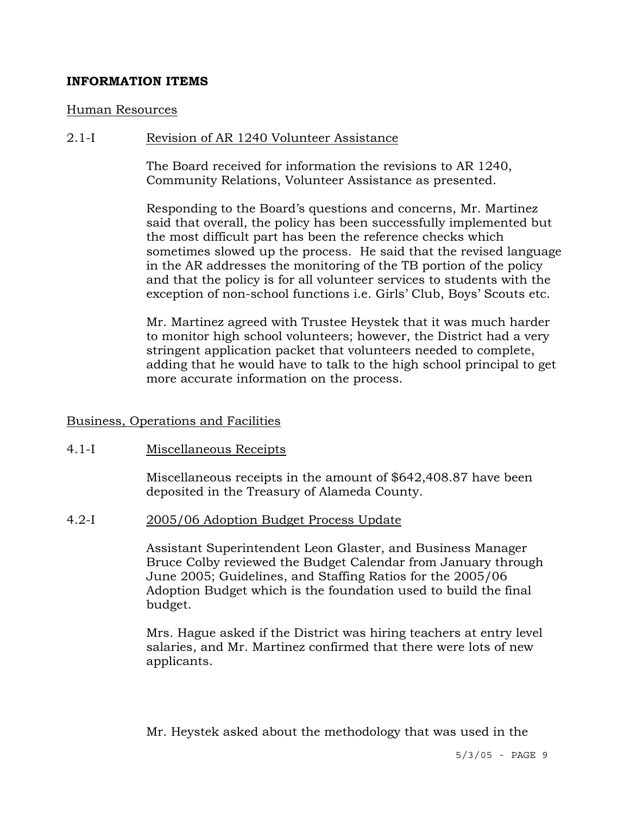## **INFORMATION ITEMS**

#### Human Resources

#### 2.1-I Revision of AR 1240 Volunteer Assistance

The Board received for information the revisions to AR 1240, Community Relations, Volunteer Assistance as presented.

Responding to the Board's questions and concerns, Mr. Martinez said that overall, the policy has been successfully implemented but the most difficult part has been the reference checks which sometimes slowed up the process. He said that the revised language in the AR addresses the monitoring of the TB portion of the policy and that the policy is for all volunteer services to students with the exception of non-school functions i.e. Girls' Club, Boys' Scouts etc.

Mr. Martinez agreed with Trustee Heystek that it was much harder to monitor high school volunteers; however, the District had a very stringent application packet that volunteers needed to complete, adding that he would have to talk to the high school principal to get more accurate information on the process.

## Business, Operations and Facilities

### 4.1-I Miscellaneous Receipts

Miscellaneous receipts in the amount of \$642,408.87 have been deposited in the Treasury of Alameda County.

#### 4.2-I 2005/06 Adoption Budget Process Update

Assistant Superintendent Leon Glaster, and Business Manager Bruce Colby reviewed the Budget Calendar from January through June 2005; Guidelines, and Staffing Ratios for the 2005/06 Adoption Budget which is the foundation used to build the final budget.

Mrs. Hague asked if the District was hiring teachers at entry level salaries, and Mr. Martinez confirmed that there were lots of new applicants.

Mr. Heystek asked about the methodology that was used in the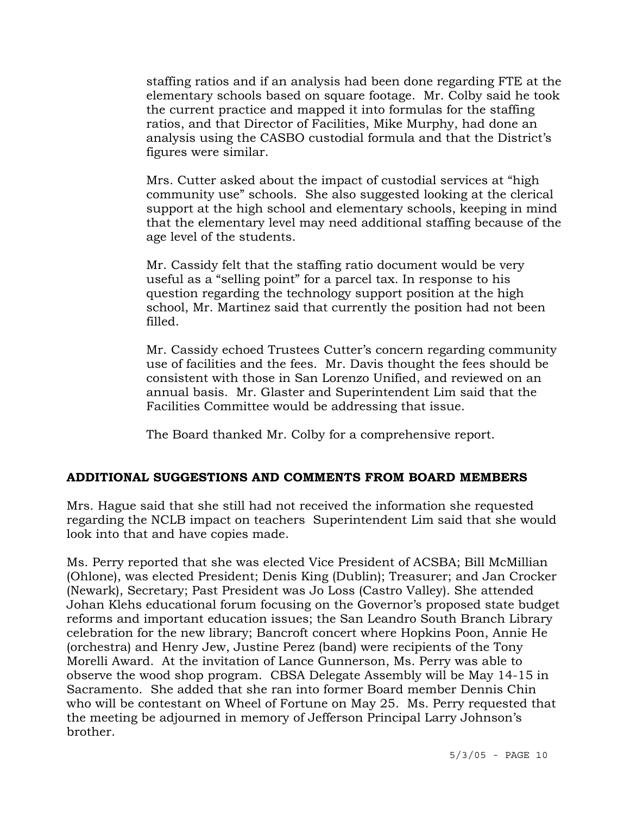staffing ratios and if an analysis had been done regarding FTE at the elementary schools based on square footage. Mr. Colby said he took the current practice and mapped it into formulas for the staffing ratios, and that Director of Facilities, Mike Murphy, had done an analysis using the CASBO custodial formula and that the District's figures were similar.

Mrs. Cutter asked about the impact of custodial services at "high community use" schools. She also suggested looking at the clerical support at the high school and elementary schools, keeping in mind that the elementary level may need additional staffing because of the age level of the students.

Mr. Cassidy felt that the staffing ratio document would be very useful as a "selling point" for a parcel tax. In response to his question regarding the technology support position at the high school, Mr. Martinez said that currently the position had not been filled.

Mr. Cassidy echoed Trustees Cutter's concern regarding community use of facilities and the fees. Mr. Davis thought the fees should be consistent with those in San Lorenzo Unified, and reviewed on an annual basis. Mr. Glaster and Superintendent Lim said that the Facilities Committee would be addressing that issue.

The Board thanked Mr. Colby for a comprehensive report.

# **ADDITIONAL SUGGESTIONS AND COMMENTS FROM BOARD MEMBERS**

Mrs. Hague said that she still had not received the information she requested regarding the NCLB impact on teachers Superintendent Lim said that she would look into that and have copies made.

Ms. Perry reported that she was elected Vice President of ACSBA; Bill McMillian (Ohlone), was elected President; Denis King (Dublin); Treasurer; and Jan Crocker (Newark), Secretary; Past President was Jo Loss (Castro Valley). She attended Johan Klehs educational forum focusing on the Governor's proposed state budget reforms and important education issues; the San Leandro South Branch Library celebration for the new library; Bancroft concert where Hopkins Poon, Annie He (orchestra) and Henry Jew, Justine Perez (band) were recipients of the Tony Morelli Award. At the invitation of Lance Gunnerson, Ms. Perry was able to observe the wood shop program. CBSA Delegate Assembly will be May 14-15 in Sacramento. She added that she ran into former Board member Dennis Chin who will be contestant on Wheel of Fortune on May 25. Ms. Perry requested that the meeting be adjourned in memory of Jefferson Principal Larry Johnson's brother.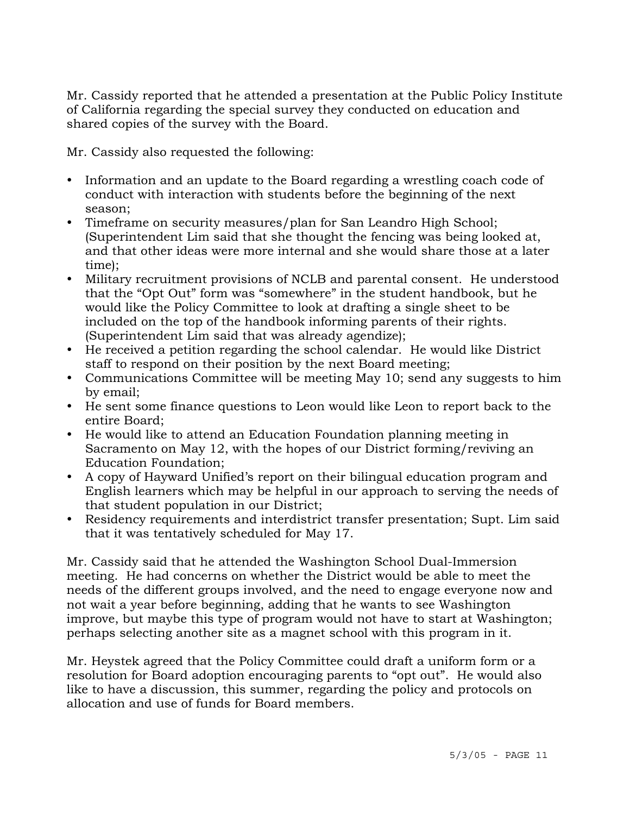Mr. Cassidy reported that he attended a presentation at the Public Policy Institute of California regarding the special survey they conducted on education and shared copies of the survey with the Board.

Mr. Cassidy also requested the following:

- Information and an update to the Board regarding a wrestling coach code of conduct with interaction with students before the beginning of the next season;
- Timeframe on security measures/plan for San Leandro High School; (Superintendent Lim said that she thought the fencing was being looked at, and that other ideas were more internal and she would share those at a later time);
- Military recruitment provisions of NCLB and parental consent. He understood that the "Opt Out" form was "somewhere" in the student handbook, but he would like the Policy Committee to look at drafting a single sheet to be included on the top of the handbook informing parents of their rights. (Superintendent Lim said that was already agendize);
- He received a petition regarding the school calendar. He would like District staff to respond on their position by the next Board meeting;
- Communications Committee will be meeting May 10; send any suggests to him by email;
- y He sent some finance questions to Leon would like Leon to report back to the entire Board;
- He would like to attend an Education Foundation planning meeting in Sacramento on May 12, with the hopes of our District forming/reviving an Education Foundation;
- A copy of Hayward Unified's report on their bilingual education program and English learners which may be helpful in our approach to serving the needs of that student population in our District;
- Residency requirements and interdistrict transfer presentation; Supt. Lim said that it was tentatively scheduled for May 17.

Mr. Cassidy said that he attended the Washington School Dual-Immersion meeting. He had concerns on whether the District would be able to meet the needs of the different groups involved, and the need to engage everyone now and not wait a year before beginning, adding that he wants to see Washington improve, but maybe this type of program would not have to start at Washington; perhaps selecting another site as a magnet school with this program in it.

Mr. Heystek agreed that the Policy Committee could draft a uniform form or a resolution for Board adoption encouraging parents to "opt out". He would also like to have a discussion, this summer, regarding the policy and protocols on allocation and use of funds for Board members.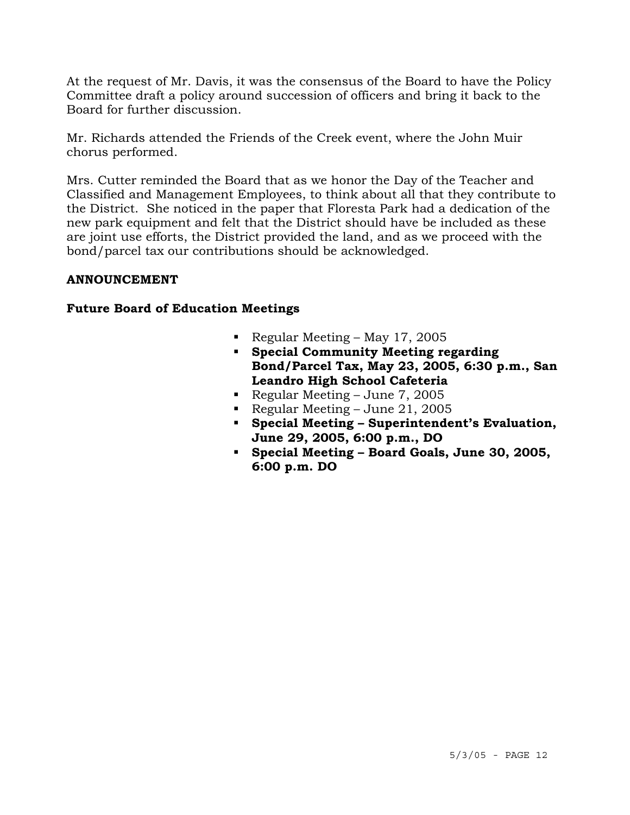At the request of Mr. Davis, it was the consensus of the Board to have the Policy Committee draft a policy around succession of officers and bring it back to the Board for further discussion.

Mr. Richards attended the Friends of the Creek event, where the John Muir chorus performed.

Mrs. Cutter reminded the Board that as we honor the Day of the Teacher and Classified and Management Employees, to think about all that they contribute to the District. She noticed in the paper that Floresta Park had a dedication of the new park equipment and felt that the District should have be included as these are joint use efforts, the District provided the land, and as we proceed with the bond/parcel tax our contributions should be acknowledged.

## **ANNOUNCEMENT**

# **Future Board of Education Meetings**

- Regular Meeting May 17, 2005
- **Special Community Meeting regarding Bond/Parcel Tax, May 23, 2005, 6:30 p.m., San Leandro High School Cafeteria**
- Regular Meeting June 7, 2005
- Regular Meeting June 21, 2005
- **Special Meeting Superintendent's Evaluation, June 29, 2005, 6:00 p.m., DO**
- **Special Meeting Board Goals, June 30, 2005, 6:00 p.m. DO**